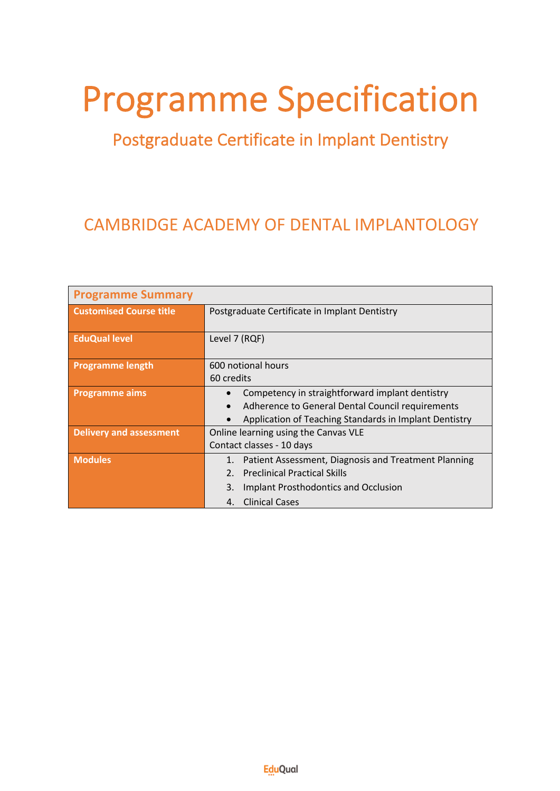# Programme Specification<br>Postgraduate Certificate in Implant Dentistry

## CAMBRIDGE ACADEMY OF DENTAL IMPLANTOLOGY

| <b>Programme Summary</b>       |                                                            |
|--------------------------------|------------------------------------------------------------|
| <b>Customised Course title</b> | Postgraduate Certificate in Implant Dentistry              |
|                                |                                                            |
| <b>EduQual level</b>           | Level 7 (RQF)                                              |
|                                |                                                            |
| <b>Programme length</b>        | 600 notional hours                                         |
|                                | 60 credits                                                 |
| <b>Programme aims</b>          | Competency in straightforward implant dentistry            |
|                                | Adherence to General Dental Council requirements           |
|                                | Application of Teaching Standards in Implant Dentistry     |
| <b>Delivery and assessment</b> | Online learning using the Canvas VLE                       |
|                                | Contact classes - 10 days                                  |
| <b>Modules</b>                 | Patient Assessment, Diagnosis and Treatment Planning<br>1. |
|                                | <b>Preclinical Practical Skills</b><br>2 <sub>1</sub>      |
|                                | 3.<br>Implant Prosthodontics and Occlusion                 |
|                                | <b>Clinical Cases</b><br>4.                                |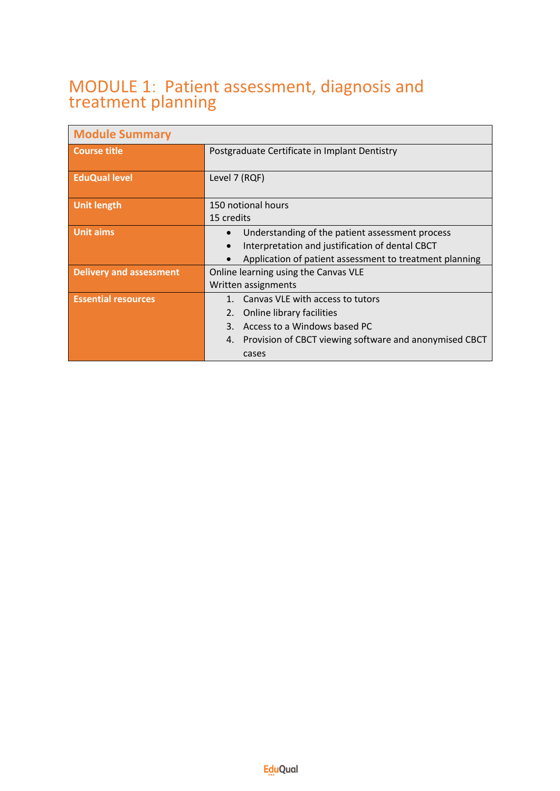#### MODULE 1: Patient assessment, diagnosis and treatment planning

| <b>Module Summary</b>          |                                                                                                                                                                                    |
|--------------------------------|------------------------------------------------------------------------------------------------------------------------------------------------------------------------------------|
| Course title                   | Postgraduate Certificate in Implant Dentistry                                                                                                                                      |
| <b>EduQual level</b>           | Level 7 (RQF)                                                                                                                                                                      |
| <b>Unit length</b>             | 150 notional hours<br>15 credits                                                                                                                                                   |
| <b>Unit aims</b>               | Understanding of the patient assessment process<br>Interpretation and justification of dental CBCT<br>Application of patient assessment to treatment planning                      |
| <b>Delivery and assessment</b> | Online learning using the Canvas VLE<br>Written assignments                                                                                                                        |
| <b>Essential resources</b>     | 1. Canvas VLE with access to tutors<br>Online library facilities<br>2.<br>3. Access to a Windows based PC<br>Provision of CBCT viewing software and anonymised CBCT<br>4.<br>cases |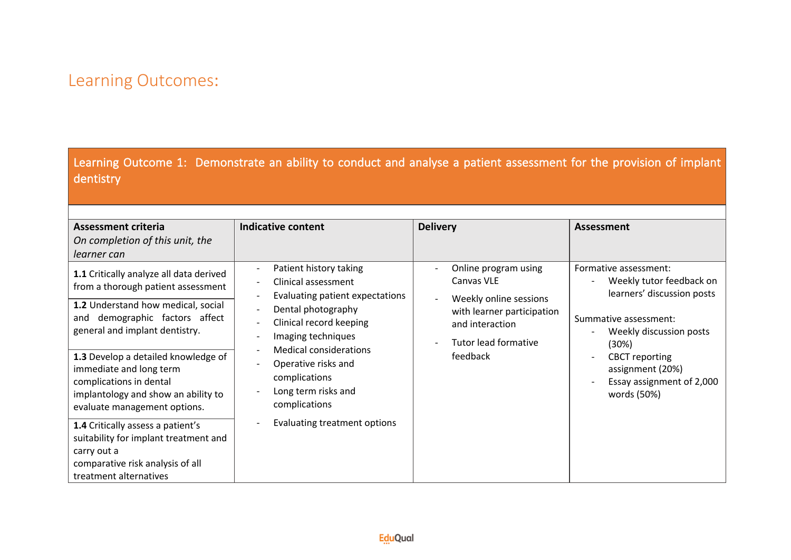Learning Outcome 1: Demonstrate an ability to conduct and analyse a patient assessment for the provision of implant dentistry

| <b>Assessment criteria</b><br>On completion of this unit, the<br>learner can                                                                                                                                                                                                                                                                                                                                                                 | <b>Indicative content</b>                                                                                                                                                                                                                                                                                                     | <b>Delivery</b>                                                                                                                                   | <b>Assessment</b>                                                                                                                                                                                                                     |
|----------------------------------------------------------------------------------------------------------------------------------------------------------------------------------------------------------------------------------------------------------------------------------------------------------------------------------------------------------------------------------------------------------------------------------------------|-------------------------------------------------------------------------------------------------------------------------------------------------------------------------------------------------------------------------------------------------------------------------------------------------------------------------------|---------------------------------------------------------------------------------------------------------------------------------------------------|---------------------------------------------------------------------------------------------------------------------------------------------------------------------------------------------------------------------------------------|
| 1.1 Critically analyze all data derived<br>from a thorough patient assessment<br>1.2 Understand how medical, social<br>demographic factors affect<br>and<br>general and implant dentistry.<br>1.3 Develop a detailed knowledge of<br>immediate and long term<br>complications in dental<br>implantology and show an ability to<br>evaluate management options.<br>1.4 Critically assess a patient's<br>suitability for implant treatment and | Patient history taking<br>Clinical assessment<br>Evaluating patient expectations<br>Dental photography<br>$\overline{\phantom{a}}$<br>Clinical record keeping<br>Imaging techniques<br>Medical considerations<br>Operative risks and<br>complications<br>Long term risks and<br>complications<br>Evaluating treatment options | Online program using<br>Canvas VLE<br>Weekly online sessions<br>with learner participation<br>and interaction<br>Tutor lead formative<br>feedback | Formative assessment:<br>Weekly tutor feedback on<br>learners' discussion posts<br>Summative assessment:<br>Weekly discussion posts<br>(30%)<br><b>CBCT</b> reporting<br>assignment (20%)<br>Essay assignment of 2,000<br>words (50%) |
| carry out a<br>comparative risk analysis of all<br>treatment alternatives                                                                                                                                                                                                                                                                                                                                                                    |                                                                                                                                                                                                                                                                                                                               |                                                                                                                                                   |                                                                                                                                                                                                                                       |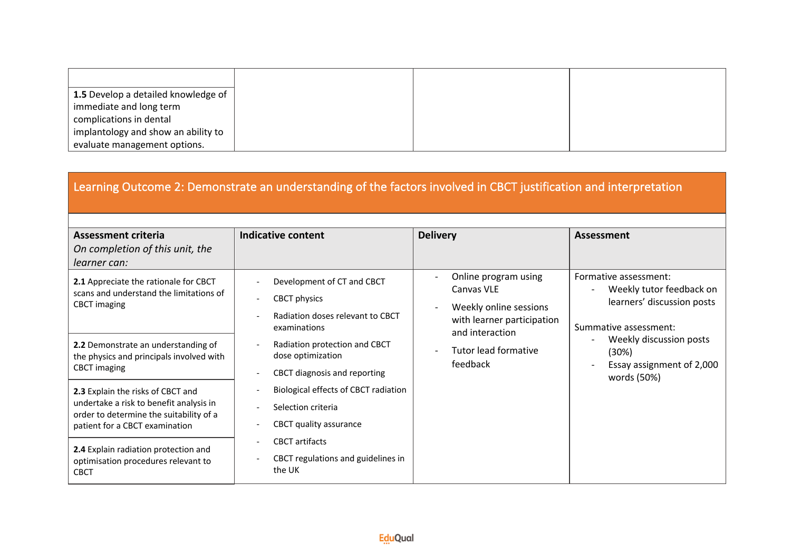| 1.5 Develop a detailed knowledge of |
|-------------------------------------|
| immediate and long term             |
| complications in dental             |
| implantology and show an ability to |
| evaluate management options.        |

| Learning Outcome 2: Demonstrate an understanding of the factors involved in CBCT justification and interpretation                                         |                                                                                                |                                                                                                               |                                                                                                          |  |
|-----------------------------------------------------------------------------------------------------------------------------------------------------------|------------------------------------------------------------------------------------------------|---------------------------------------------------------------------------------------------------------------|----------------------------------------------------------------------------------------------------------|--|
| <b>Assessment criteria</b><br>On completion of this unit, the<br>learner can:                                                                             | <b>Indicative content</b>                                                                      | <b>Delivery</b>                                                                                               | <b>Assessment</b>                                                                                        |  |
| 2.1 Appreciate the rationale for CBCT<br>scans and understand the limitations of<br><b>CBCT</b> imaging                                                   | Development of CT and CBCT<br>CBCT physics<br>Radiation doses relevant to CBCT<br>examinations | Online program using<br>Canvas VLE<br>Weekly online sessions<br>with learner participation<br>and interaction | Formative assessment:<br>Weekly tutor feedback on<br>learners' discussion posts<br>Summative assessment: |  |
| 2.2 Demonstrate an understanding of<br>the physics and principals involved with<br><b>CBCT</b> imaging                                                    | Radiation protection and CBCT<br>dose optimization<br>CBCT diagnosis and reporting             | Tutor lead formative<br>feedback                                                                              | Weekly discussion posts<br>(30%)<br>Essay assignment of 2,000<br>words (50%)                             |  |
| 2.3 Explain the risks of CBCT and<br>undertake a risk to benefit analysis in<br>order to determine the suitability of a<br>patient for a CBCT examination | Biological effects of CBCT radiation<br>Selection criteria<br>CBCT quality assurance           |                                                                                                               |                                                                                                          |  |
| 2.4 Explain radiation protection and<br>optimisation procedures relevant to<br><b>CBCT</b>                                                                | <b>CBCT</b> artifacts<br>CBCT regulations and guidelines in<br>the UK                          |                                                                                                               |                                                                                                          |  |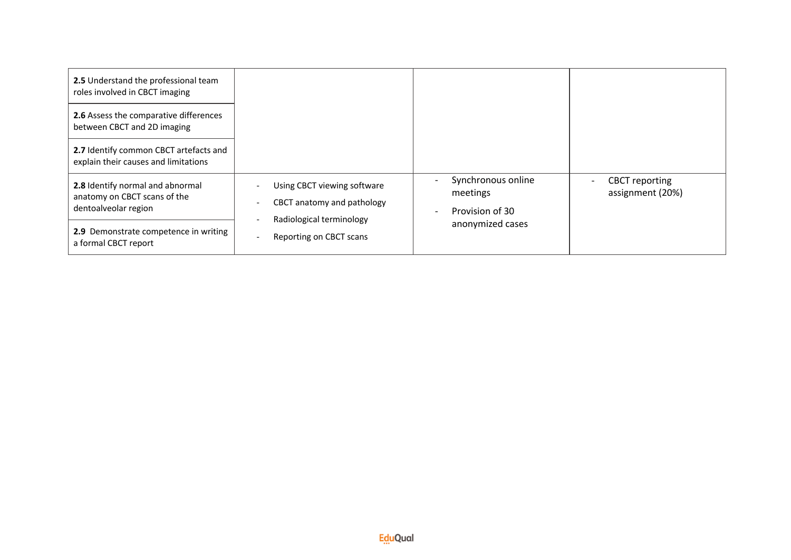| 2.5 Understand the professional team<br>roles involved in CBCT imaging                   |                                                                                       |                                                   |                                           |
|------------------------------------------------------------------------------------------|---------------------------------------------------------------------------------------|---------------------------------------------------|-------------------------------------------|
| 2.6 Assess the comparative differences<br>between CBCT and 2D imaging                    |                                                                                       |                                                   |                                           |
| 2.7 Identify common CBCT artefacts and<br>explain their causes and limitations           |                                                                                       |                                                   |                                           |
| 2.8 Identify normal and abnormal<br>anatomy on CBCT scans of the<br>dentoalveolar region | Using CBCT viewing software<br>CBCT anatomy and pathology<br>Radiological terminology | Synchronous online<br>meetings<br>Provision of 30 | <b>CBCT</b> reporting<br>assignment (20%) |
| 2.9 Demonstrate competence in writing<br>a formal CBCT report                            | Reporting on CBCT scans                                                               | anonymized cases                                  |                                           |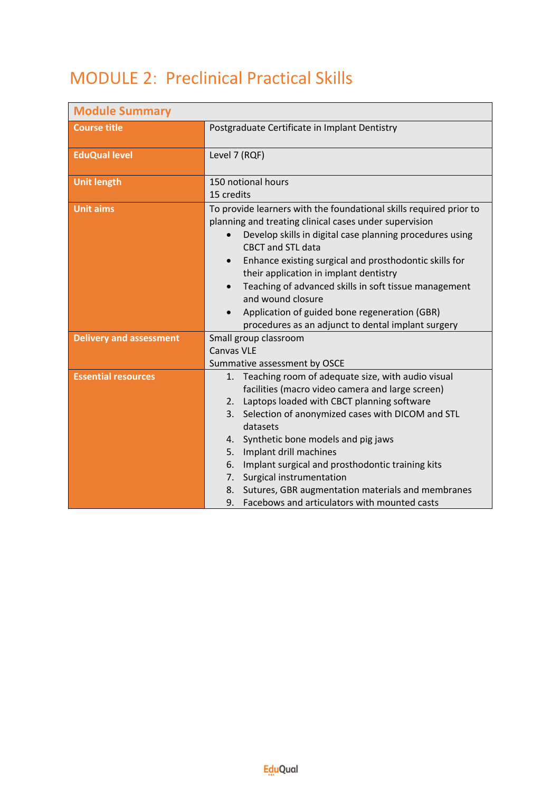## MODULE 2: Preclinical Practical Skills

| <b>Module Summary</b>          |                                                                                                                                                                                                                                                                                                                                                                                                                                                                                                                                |
|--------------------------------|--------------------------------------------------------------------------------------------------------------------------------------------------------------------------------------------------------------------------------------------------------------------------------------------------------------------------------------------------------------------------------------------------------------------------------------------------------------------------------------------------------------------------------|
| <b>Course title</b>            | Postgraduate Certificate in Implant Dentistry                                                                                                                                                                                                                                                                                                                                                                                                                                                                                  |
| <b>EduQual level</b>           | Level 7 (RQF)                                                                                                                                                                                                                                                                                                                                                                                                                                                                                                                  |
| <b>Unit length</b>             | 150 notional hours<br>15 credits                                                                                                                                                                                                                                                                                                                                                                                                                                                                                               |
| <b>Unit aims</b>               | To provide learners with the foundational skills required prior to<br>planning and treating clinical cases under supervision<br>Develop skills in digital case planning procedures using<br>$\bullet$<br><b>CBCT</b> and STL data<br>Enhance existing surgical and prosthodontic skills for<br>their application in implant dentistry<br>Teaching of advanced skills in soft tissue management<br>and wound closure<br>Application of guided bone regeneration (GBR)<br>procedures as an adjunct to dental implant surgery     |
| <b>Delivery and assessment</b> | Small group classroom<br><b>Canvas VLE</b><br>Summative assessment by OSCE                                                                                                                                                                                                                                                                                                                                                                                                                                                     |
| <b>Essential resources</b>     | Teaching room of adequate size, with audio visual<br>1.<br>facilities (macro video camera and large screen)<br>Laptops loaded with CBCT planning software<br>2.<br>Selection of anonymized cases with DICOM and STL<br>3.<br>datasets<br>Synthetic bone models and pig jaws<br>4.<br>Implant drill machines<br>5.<br>Implant surgical and prosthodontic training kits<br>6.<br>Surgical instrumentation<br>7.<br>8.<br>Sutures, GBR augmentation materials and membranes<br>Facebows and articulators with mounted casts<br>9. |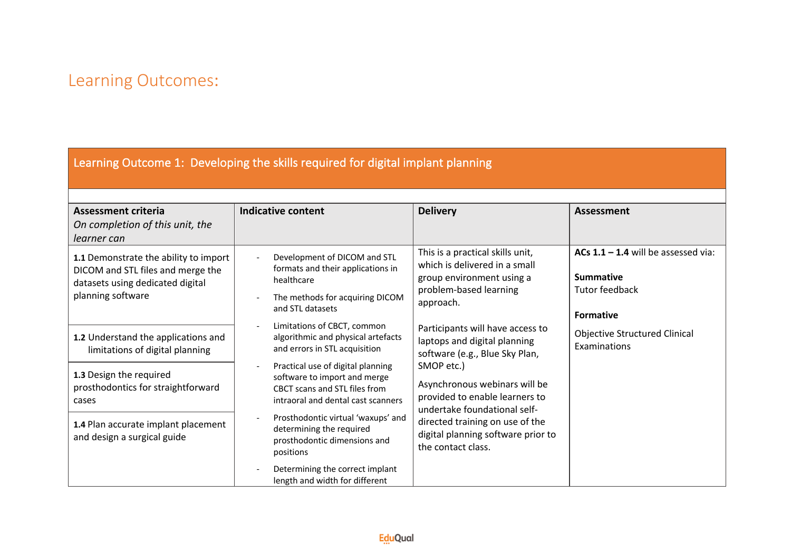#### Learning Outcome 1: Developing the skills required for digital implant planning

| <b>Assessment criteria</b><br>On completion of this unit, the<br>learner can                                                        | Indicative content                                                                                                                       | <b>Delivery</b>                                                                                                                       | <b>Assessment</b>                                                                               |
|-------------------------------------------------------------------------------------------------------------------------------------|------------------------------------------------------------------------------------------------------------------------------------------|---------------------------------------------------------------------------------------------------------------------------------------|-------------------------------------------------------------------------------------------------|
| 1.1 Demonstrate the ability to import<br>DICOM and STL files and merge the<br>datasets using dedicated digital<br>planning software | Development of DICOM and STL<br>formats and their applications in<br>healthcare<br>The methods for acquiring DICOM<br>and STL datasets   | This is a practical skills unit,<br>which is delivered in a small<br>group environment using a<br>problem-based learning<br>approach. | ACs $1.1 - 1.4$ will be assessed via:<br><b>Summative</b><br>Tutor feedback<br><b>Formative</b> |
| 1.2 Understand the applications and<br>limitations of digital planning                                                              | Limitations of CBCT, common<br>algorithmic and physical artefacts<br>and errors in STL acquisition                                       | Participants will have access to<br>laptops and digital planning<br>software (e.g., Blue Sky Plan,                                    | <b>Objective Structured Clinical</b><br>Examinations                                            |
| 1.3 Design the required<br>prosthodontics for straightforward<br>cases                                                              | Practical use of digital planning<br>software to import and merge<br>CBCT scans and STL files from<br>intraoral and dental cast scanners | SMOP etc.)<br>Asynchronous webinars will be<br>provided to enable learners to<br>undertake foundational self-                         |                                                                                                 |
| 1.4 Plan accurate implant placement<br>and design a surgical guide                                                                  | Prosthodontic virtual 'waxups' and<br>determining the required<br>prosthodontic dimensions and<br>positions                              | directed training on use of the<br>digital planning software prior to<br>the contact class.                                           |                                                                                                 |
|                                                                                                                                     | Determining the correct implant<br>length and width for different                                                                        |                                                                                                                                       |                                                                                                 |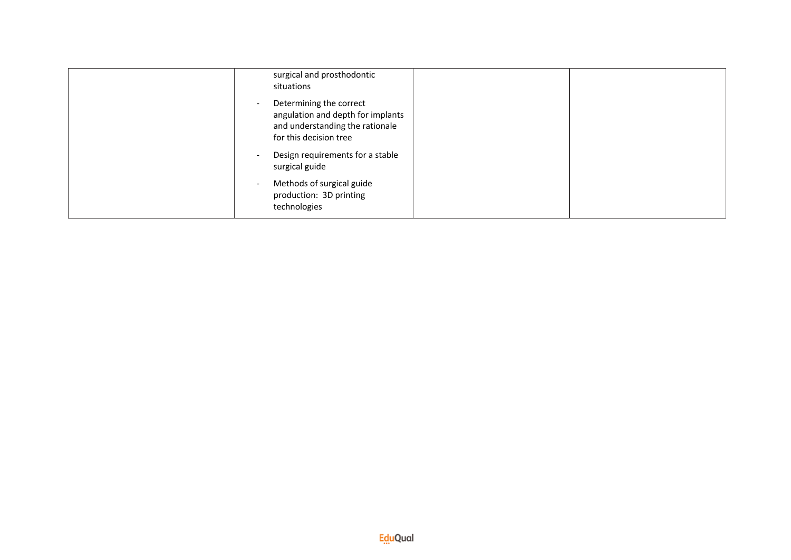| surgical and prosthodontic<br>situations                                                                                                              |  |
|-------------------------------------------------------------------------------------------------------------------------------------------------------|--|
| Determining the correct<br>$\overline{\phantom{a}}$<br>angulation and depth for implants<br>and understanding the rationale<br>for this decision tree |  |
| Design requirements for a stable<br>$\overline{\phantom{a}}$<br>surgical guide                                                                        |  |
| Methods of surgical guide<br>$\overline{\phantom{a}}$<br>production: 3D printing<br>technologies                                                      |  |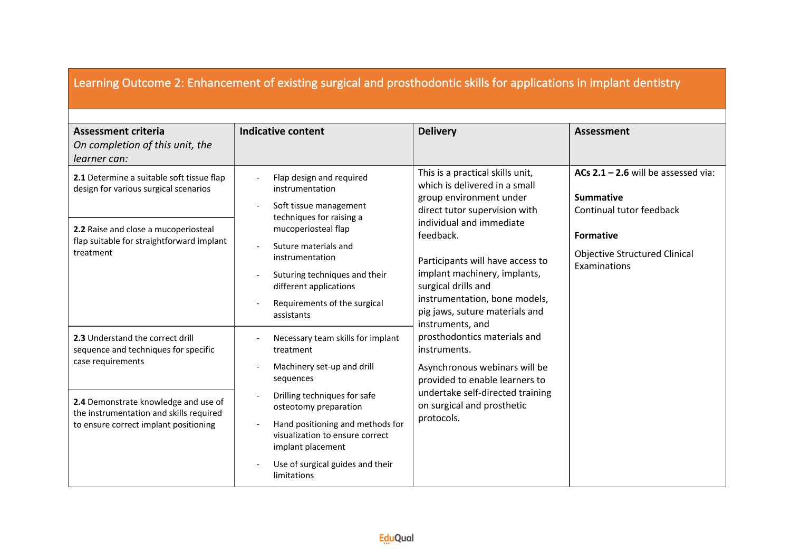| Learning Outcome 2: Enhancement of existing surgical and prosthodontic skills for applications in implant dentistry                                                                                                       |                                                                                                                                                                                                                                                                                                                            |                                                                                                                                                                                                                                                                                                                                                                                                                                                                                                                                                             |                                                                                                                                                                   |
|---------------------------------------------------------------------------------------------------------------------------------------------------------------------------------------------------------------------------|----------------------------------------------------------------------------------------------------------------------------------------------------------------------------------------------------------------------------------------------------------------------------------------------------------------------------|-------------------------------------------------------------------------------------------------------------------------------------------------------------------------------------------------------------------------------------------------------------------------------------------------------------------------------------------------------------------------------------------------------------------------------------------------------------------------------------------------------------------------------------------------------------|-------------------------------------------------------------------------------------------------------------------------------------------------------------------|
| <b>Assessment criteria</b><br>On completion of this unit, the<br>learner can:                                                                                                                                             | <b>Indicative content</b>                                                                                                                                                                                                                                                                                                  | <b>Delivery</b>                                                                                                                                                                                                                                                                                                                                                                                                                                                                                                                                             | <b>Assessment</b>                                                                                                                                                 |
| 2.1 Determine a suitable soft tissue flap<br>design for various surgical scenarios<br>2.2 Raise and close a mucoperiosteal<br>flap suitable for straightforward implant<br>treatment                                      | Flap design and required<br>instrumentation<br>Soft tissue management<br>techniques for raising a<br>mucoperiosteal flap<br>Suture materials and<br>$\overline{a}$<br>instrumentation<br>Suturing techniques and their<br>$\overline{\phantom{a}}$<br>different applications<br>Requirements of the surgical<br>assistants | This is a practical skills unit,<br>which is delivered in a small<br>group environment under<br>direct tutor supervision with<br>individual and immediate<br>feedback.<br>Participants will have access to<br>implant machinery, implants,<br>surgical drills and<br>instrumentation, bone models,<br>pig jaws, suture materials and<br>instruments, and<br>prosthodontics materials and<br>instruments.<br>Asynchronous webinars will be<br>provided to enable learners to<br>undertake self-directed training<br>on surgical and prosthetic<br>protocols. | ACs $2.1 - 2.6$ will be assessed via:<br><b>Summative</b><br>Continual tutor feedback<br><b>Formative</b><br><b>Objective Structured Clinical</b><br>Examinations |
| 2.3 Understand the correct drill<br>sequence and techniques for specific<br>case requirements<br>2.4 Demonstrate knowledge and use of<br>the instrumentation and skills required<br>to ensure correct implant positioning | Necessary team skills for implant<br>treatment<br>Machinery set-up and drill<br>sequences<br>Drilling techniques for safe<br>osteotomy preparation<br>Hand positioning and methods for<br>visualization to ensure correct<br>implant placement<br>Use of surgical guides and their<br>limitations                          |                                                                                                                                                                                                                                                                                                                                                                                                                                                                                                                                                             |                                                                                                                                                                   |

 $\mathbf{r}$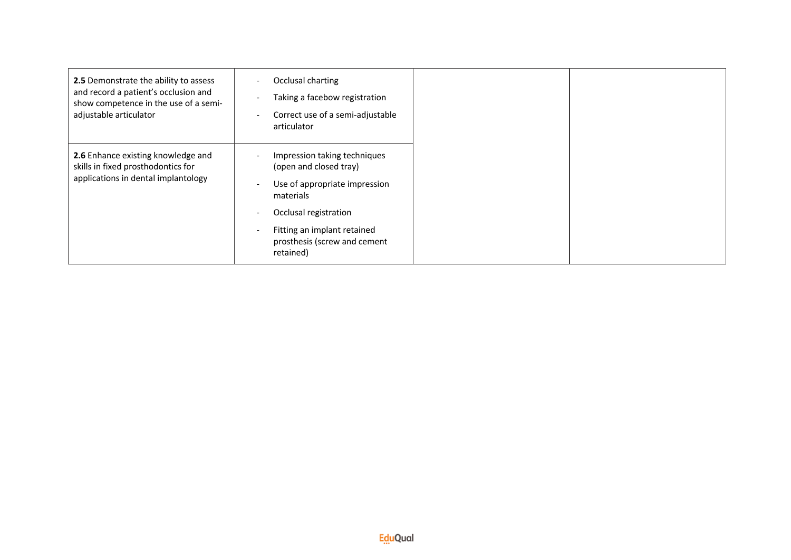| 2.5 Demonstrate the ability to assess<br>and record a patient's occlusion and<br>show competence in the use of a semi-<br>adjustable articulator | Occlusal charting<br>Taking a facebow registration<br>Correct use of a semi-adjustable<br>$\overline{\phantom{a}}$<br>articulator                                                                                                                                             |
|--------------------------------------------------------------------------------------------------------------------------------------------------|-------------------------------------------------------------------------------------------------------------------------------------------------------------------------------------------------------------------------------------------------------------------------------|
| 2.6 Enhance existing knowledge and<br>skills in fixed prosthodontics for<br>applications in dental implantology                                  | Impression taking techniques<br>(open and closed tray)<br>Use of appropriate impression<br>$\overline{\phantom{a}}$<br>materials<br>Occlusal registration<br><b>.</b><br>Fitting an implant retained<br>$\overline{\phantom{a}}$<br>prosthesis (screw and cement<br>retained) |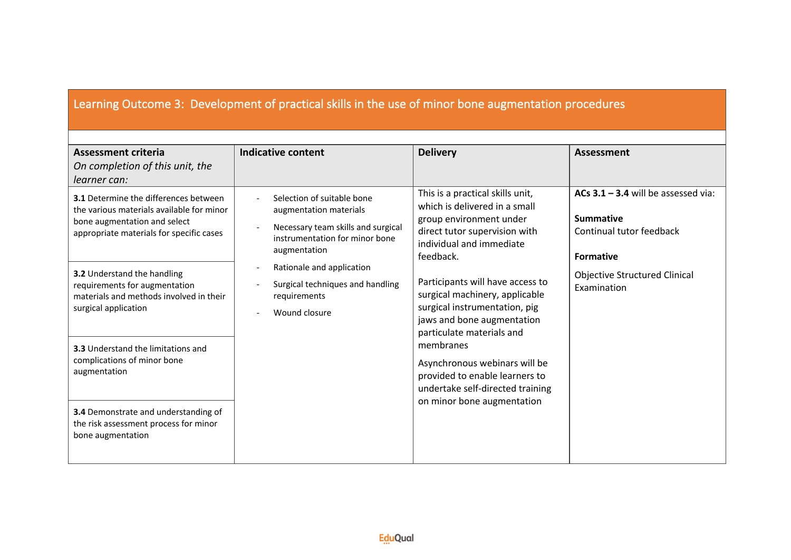#### Learning Outcome 3: Development of practical skills in the use of minor bone augmentation procedures

| <b>Assessment criteria</b>                                                                                                                                            | <b>Indicative content</b>                                                                                                                    | <b>Delivery</b>                                                                                                                                                        | <b>Assessment</b>                                                                                         |
|-----------------------------------------------------------------------------------------------------------------------------------------------------------------------|----------------------------------------------------------------------------------------------------------------------------------------------|------------------------------------------------------------------------------------------------------------------------------------------------------------------------|-----------------------------------------------------------------------------------------------------------|
| On completion of this unit, the<br>learner can:                                                                                                                       |                                                                                                                                              |                                                                                                                                                                        |                                                                                                           |
| <b>3.1</b> Determine the differences between<br>the various materials available for minor<br>bone augmentation and select<br>appropriate materials for specific cases | Selection of suitable bone<br>augmentation materials<br>Necessary team skills and surgical<br>instrumentation for minor bone<br>augmentation | This is a practical skills unit,<br>which is delivered in a small<br>group environment under<br>direct tutor supervision with<br>individual and immediate<br>feedback. | ACs $3.1 - 3.4$ will be assessed via:<br><b>Summative</b><br>Continual tutor feedback<br><b>Formative</b> |
| 3.2 Understand the handling<br>requirements for augmentation<br>materials and methods involved in their<br>surgical application                                       | Rationale and application<br>Surgical techniques and handling<br>requirements<br>Wound closure                                               | Participants will have access to<br>surgical machinery, applicable<br>surgical instrumentation, pig<br>jaws and bone augmentation<br>particulate materials and         | <b>Objective Structured Clinical</b><br>Examination                                                       |
| <b>3.3</b> Understand the limitations and<br>complications of minor bone<br>augmentation                                                                              |                                                                                                                                              | membranes<br>Asynchronous webinars will be<br>provided to enable learners to<br>undertake self-directed training                                                       |                                                                                                           |
| 3.4 Demonstrate and understanding of<br>the risk assessment process for minor<br>bone augmentation                                                                    |                                                                                                                                              | on minor bone augmentation                                                                                                                                             |                                                                                                           |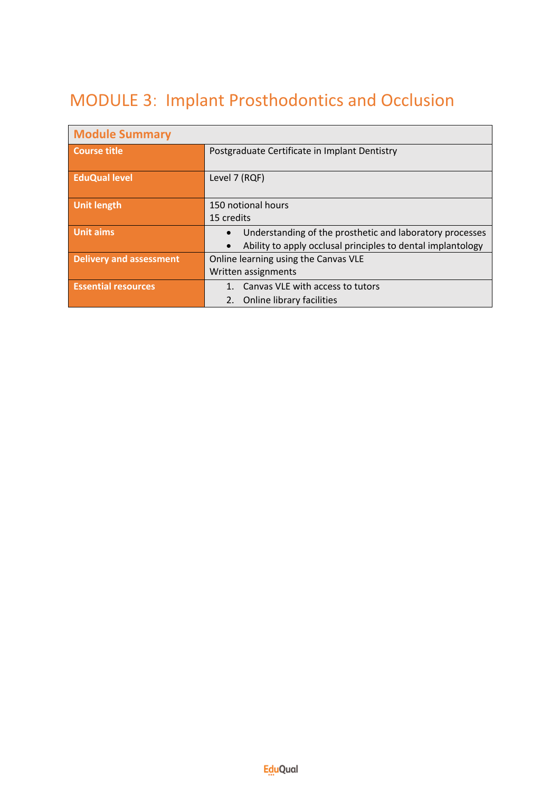# MODULE 3: Implant Prosthodontics and Occlusion

| <b>Module Summary</b>          |                                                                       |  |  |
|--------------------------------|-----------------------------------------------------------------------|--|--|
| <b>Course title</b>            | Postgraduate Certificate in Implant Dentistry                         |  |  |
|                                |                                                                       |  |  |
| <b>EduQual level</b>           | Level 7 (RQF)                                                         |  |  |
|                                |                                                                       |  |  |
| <b>Unit length</b>             | 150 notional hours                                                    |  |  |
|                                | 15 credits                                                            |  |  |
| <b>Unit aims</b>               | Understanding of the prosthetic and laboratory processes<br>$\bullet$ |  |  |
|                                | Ability to apply occlusal principles to dental implantology           |  |  |
| <b>Delivery and assessment</b> | Online learning using the Canvas VLE                                  |  |  |
|                                | Written assignments                                                   |  |  |
| <b>Essential resources</b>     | 1. Canvas VLE with access to tutors                                   |  |  |
|                                | 2.<br>Online library facilities                                       |  |  |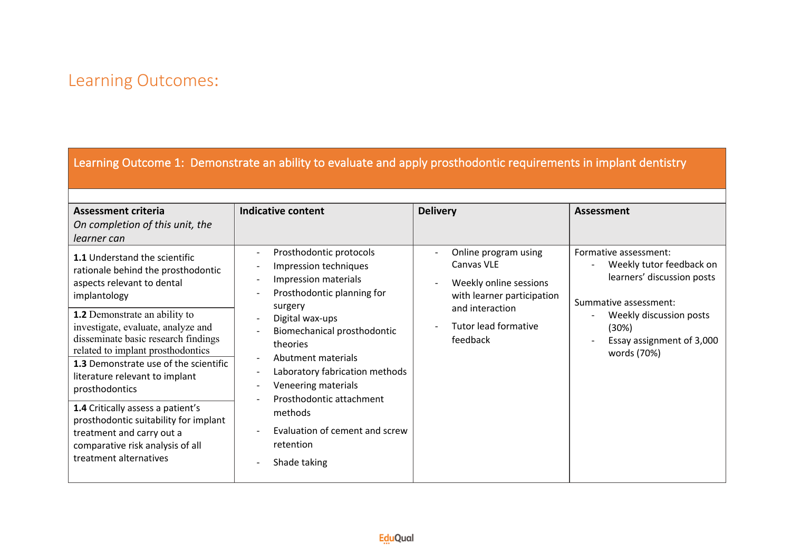Learning Outcome 1: Demonstrate an ability to evaluate and apply prosthodontic requirements in implant dentistry

| <b>Assessment criteria</b><br>On completion of this unit, the<br>learner can                                                                                                                                                                                                                                                                                                                                                                                                                                                                                    | <b>Indicative content</b>                                                                                                                                                                                                                                                                                                                                                                                                    | <b>Delivery</b>                                                                                                                                          | <b>Assessment</b>                                                                                                                                                                        |
|-----------------------------------------------------------------------------------------------------------------------------------------------------------------------------------------------------------------------------------------------------------------------------------------------------------------------------------------------------------------------------------------------------------------------------------------------------------------------------------------------------------------------------------------------------------------|------------------------------------------------------------------------------------------------------------------------------------------------------------------------------------------------------------------------------------------------------------------------------------------------------------------------------------------------------------------------------------------------------------------------------|----------------------------------------------------------------------------------------------------------------------------------------------------------|------------------------------------------------------------------------------------------------------------------------------------------------------------------------------------------|
| <b>1.1 Understand the scientific</b><br>rationale behind the prosthodontic<br>aspects relevant to dental<br>implantology<br><b>1.2</b> Demonstrate an ability to<br>investigate, evaluate, analyze and<br>disseminate basic research findings<br>related to implant prosthodontics<br><b>1.3</b> Demonstrate use of the scientific<br>literature relevant to implant<br>prosthodontics<br>1.4 Critically assess a patient's<br>prosthodontic suitability for implant<br>treatment and carry out a<br>comparative risk analysis of all<br>treatment alternatives | Prosthodontic protocols<br>$\overline{\phantom{a}}$<br>Impression techniques<br>Impression materials<br>Prosthodontic planning for<br>$\overline{\phantom{a}}$<br>surgery<br>Digital wax-ups<br>Biomechanical prosthodontic<br>theories<br>Abutment materials<br>Laboratory fabrication methods<br>Veneering materials<br>Prosthodontic attachment<br>methods<br>Evaluation of cement and screw<br>retention<br>Shade taking | Online program using<br>Canvas VLE<br>Weekly online sessions<br>with learner participation<br>and interaction<br><b>Tutor lead formative</b><br>feedback | Formative assessment:<br>Weekly tutor feedback on<br>learners' discussion posts<br>Summative assessment:<br>Weekly discussion posts<br>(30%)<br>Essay assignment of 3,000<br>words (70%) |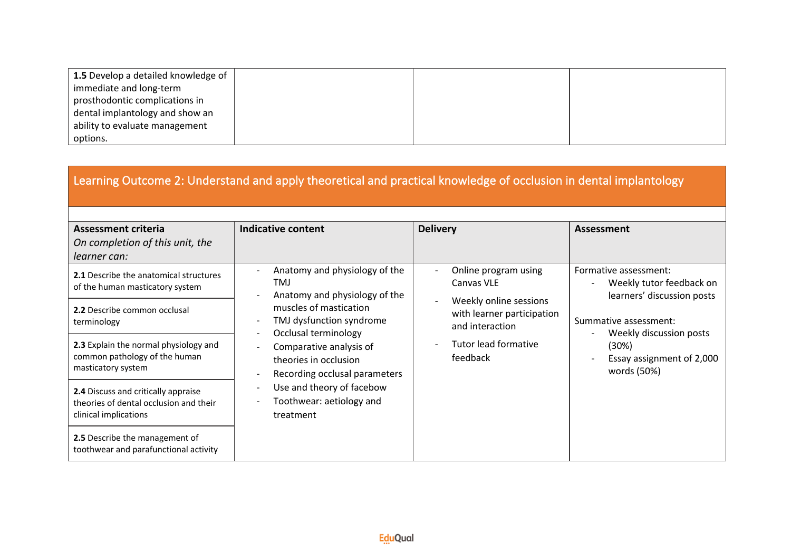| 1.5 Develop a detailed knowledge of |  |  |
|-------------------------------------|--|--|
| immediate and long-term             |  |  |
| prosthodontic complications in      |  |  |
| dental implantology and show an     |  |  |
| ability to evaluate management      |  |  |
| options.                            |  |  |

| Learning Outcome 2: Understand and apply theoretical and practical knowledge of occlusion in dental implantology |                                                                                                                                                                                                                                       |                                                                                                                    |                                                                                                       |
|------------------------------------------------------------------------------------------------------------------|---------------------------------------------------------------------------------------------------------------------------------------------------------------------------------------------------------------------------------------|--------------------------------------------------------------------------------------------------------------------|-------------------------------------------------------------------------------------------------------|
| <b>Assessment criteria</b><br>On completion of this unit, the<br>learner can:                                    | <b>Indicative content</b>                                                                                                                                                                                                             | <b>Delivery</b>                                                                                                    | <b>Assessment</b>                                                                                     |
| 2.1 Describe the anatomical structures<br>of the human masticatory system                                        | Anatomy and physiology of the<br>TM.<br>Anatomy and physiology of the                                                                                                                                                                 | Online program using<br>Canvas VLE                                                                                 | Formative assessment:<br>Weekly tutor feedback on<br>learners' discussion posts                       |
| 2.2 Describe common occlusal<br>terminology                                                                      | muscles of mastication<br>TMJ dysfunction syndrome<br>Occlusal terminology<br>Comparative analysis of<br>theories in occlusion<br>Recording occlusal parameters<br>Use and theory of facebow<br>Toothwear: aetiology and<br>treatment | Weekly online sessions<br>with learner participation<br>and interaction<br><b>Tutor lead formative</b><br>feedback | Summative assessment:<br>Weekly discussion posts<br>(30%)<br>Essay assignment of 2,000<br>words (50%) |
| 2.3 Explain the normal physiology and<br>common pathology of the human<br>masticatory system                     |                                                                                                                                                                                                                                       |                                                                                                                    |                                                                                                       |
| 2.4 Discuss and critically appraise<br>theories of dental occlusion and their<br>clinical implications           |                                                                                                                                                                                                                                       |                                                                                                                    |                                                                                                       |
| 2.5 Describe the management of<br>toothwear and parafunctional activity                                          |                                                                                                                                                                                                                                       |                                                                                                                    |                                                                                                       |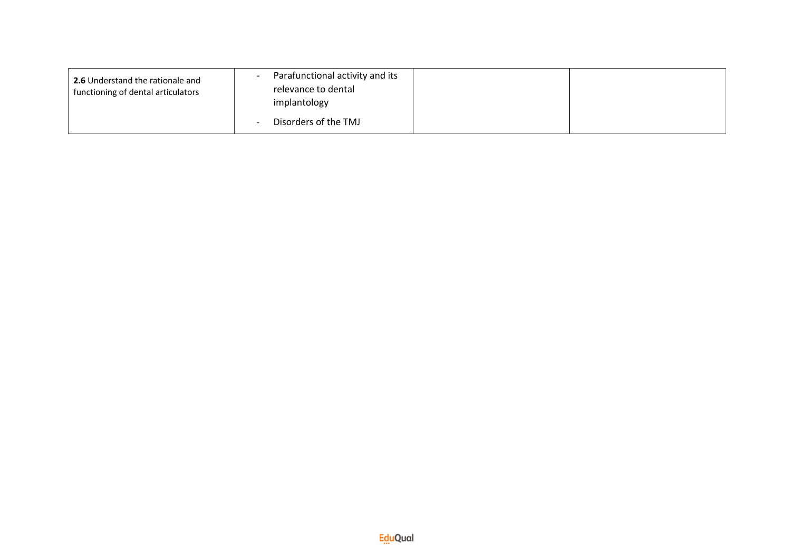| <b>2.6</b> Understand the rationale and<br>functioning of dental articulators | Parafunctional activity and its<br>relevance to dental<br>implantology |  |
|-------------------------------------------------------------------------------|------------------------------------------------------------------------|--|
|                                                                               | Disorders of the TMJ                                                   |  |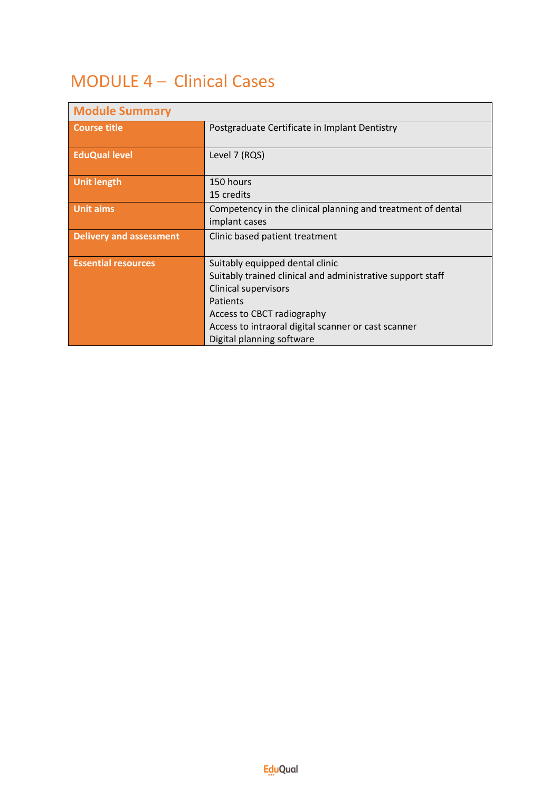# MODULE 4 – Clinical Cases

| <b>Module Summary</b>          |                                                                                                                                                                                                                                                            |
|--------------------------------|------------------------------------------------------------------------------------------------------------------------------------------------------------------------------------------------------------------------------------------------------------|
| Course title                   | Postgraduate Certificate in Implant Dentistry                                                                                                                                                                                                              |
| <b>EduQual level</b>           | Level 7 (RQS)                                                                                                                                                                                                                                              |
| <b>Unit length</b>             | 150 hours<br>15 credits                                                                                                                                                                                                                                    |
| <b>Unit aims</b>               | Competency in the clinical planning and treatment of dental<br>implant cases                                                                                                                                                                               |
| <b>Delivery and assessment</b> | Clinic based patient treatment                                                                                                                                                                                                                             |
| <b>Essential resources</b>     | Suitably equipped dental clinic<br>Suitably trained clinical and administrative support staff<br><b>Clinical supervisors</b><br>Patients<br>Access to CBCT radiography<br>Access to intraoral digital scanner or cast scanner<br>Digital planning software |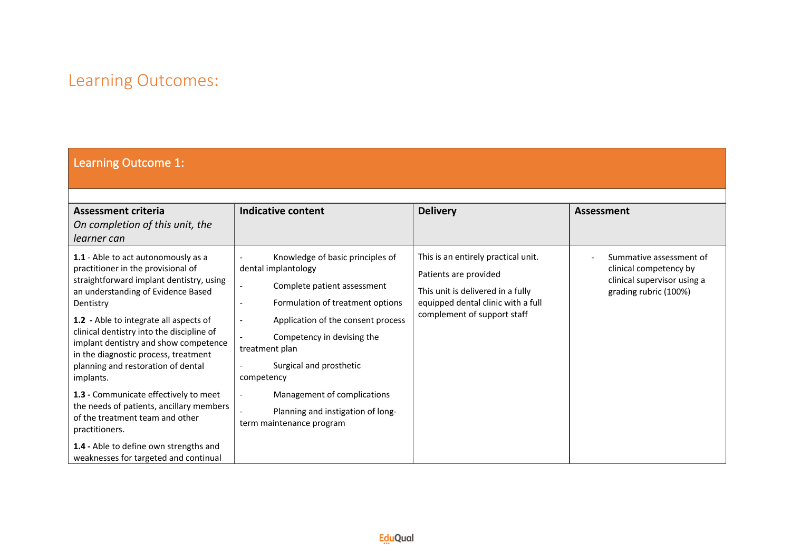#### Learning Outcome 1:

| <b>Assessment criteria</b><br>On completion of this unit, the<br>learner can                                                                                                                                                                                                                                                                                                                        | <b>Indicative content</b>                                                                                                                                                                                                                                                                                                                                                                   | <b>Delivery</b>                                                                                                                                                        | <b>Assessment</b>                                                                                         |
|-----------------------------------------------------------------------------------------------------------------------------------------------------------------------------------------------------------------------------------------------------------------------------------------------------------------------------------------------------------------------------------------------------|---------------------------------------------------------------------------------------------------------------------------------------------------------------------------------------------------------------------------------------------------------------------------------------------------------------------------------------------------------------------------------------------|------------------------------------------------------------------------------------------------------------------------------------------------------------------------|-----------------------------------------------------------------------------------------------------------|
| 1.1 - Able to act autonomously as a<br>practitioner in the provisional of<br>straightforward implant dentistry, using<br>an understanding of Evidence Based<br>Dentistry<br>1.2 - Able to integrate all aspects of<br>clinical dentistry into the discipline of<br>implant dentistry and show competence<br>in the diagnostic process, treatment<br>planning and restoration of dental<br>implants. | Knowledge of basic principles of<br>$\overline{\phantom{a}}$<br>dental implantology<br>Complete patient assessment<br>$\overline{\phantom{a}}$<br>Formulation of treatment options<br>$\overline{\phantom{a}}$<br>Application of the consent process<br>$\overline{\phantom{a}}$<br>Competency in devising the<br>treatment plan<br>Surgical and prosthetic<br>$\blacksquare$<br>competency | This is an entirely practical unit.<br>Patients are provided<br>This unit is delivered in a fully<br>equipped dental clinic with a full<br>complement of support staff | Summative assessment of<br>clinical competency by<br>clinical supervisor using a<br>grading rubric (100%) |
| 1.3 - Communicate effectively to meet<br>the needs of patients, ancillary members<br>of the treatment team and other<br>practitioners.                                                                                                                                                                                                                                                              | Management of complications<br>$\overline{\phantom{a}}$<br>Planning and instigation of long-<br>term maintenance program                                                                                                                                                                                                                                                                    |                                                                                                                                                                        |                                                                                                           |
| 1.4 - Able to define own strengths and<br>weaknesses for targeted and continual                                                                                                                                                                                                                                                                                                                     |                                                                                                                                                                                                                                                                                                                                                                                             |                                                                                                                                                                        |                                                                                                           |